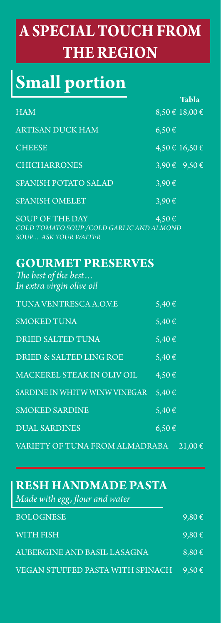# **A SPECIAL TOUCH FROM THE REGION**

# **Small portion**

|                                                                                                    |            | Tabla                |
|----------------------------------------------------------------------------------------------------|------------|----------------------|
| <b>HAM</b>                                                                                         |            | $8,50 \in 18,00 \in$ |
| <b>ARTISAN DUCK HAM</b>                                                                            | $6,50 \in$ |                      |
| <b>CHEESE</b>                                                                                      |            | 4,50 € 16,50 €       |
| <b>CHICHARRONES</b>                                                                                |            | 3,90 € 9,50 €        |
| SPANISH POTATO SALAD                                                                               | 3,90€      |                      |
| <b>SPANISH OMELET</b>                                                                              | 3,90€      |                      |
| <b>SOUP OF THE DAY</b><br>COLD TOMATO SOUP / COLD GARLIC AND ALMOND<br><b>SOUP ASK YOUR WAITER</b> | 4,50€      |                      |
| <b>GOURMET PRESERVES</b><br>The best of the best<br>In extra virgin olive oil                      |            |                      |
| TUNA VENTRESCA A.O.V.E                                                                             | 5,40€      |                      |
| <b>SMOKED TUNA</b>                                                                                 | 5,40€      |                      |
| DRIED SALTED TUNA                                                                                  | 5,40€      |                      |
| DRIED & SALTED LING ROE $5,40 \in$                                                                 |            |                      |
| MACKEREL STEAK IN OLIV OIL $4,50 \in$                                                              |            |                      |
| SARDINE IN WHITW WINW VINEGAR 5,40 $\epsilon$                                                      |            |                      |
| <b>SMOKED SARDINE</b>                                                                              | 5,40€      |                      |
| <b>DUAL SARDINES</b>                                                                               | $6,50 \in$ |                      |
| VARIETY OF TUNA FROM ALMADRABA                                                                     |            | $21,00 \in$          |

### **RESH HANDMADE PASTA** *Made with egg, flour and water*

| $\sim$                           |            |
|----------------------------------|------------|
| <b>BOLOGNESE</b>                 | $9,80 \in$ |
| WITH FISH                        | $9,80 \in$ |
| AUBERGINE AND BASIL LASAGNA      | $8,80 \in$ |
| VEGAN STUFFED PASTA WITH SPINACH | $9,50 \in$ |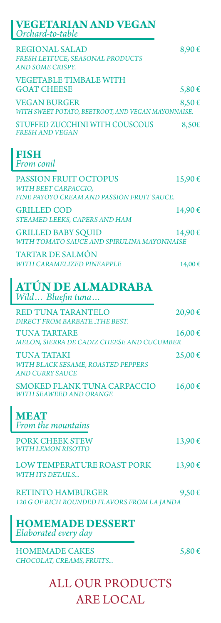| <b>VEGETARIAN AND VEGAN</b><br>Orchard-to-table                                                    |        |
|----------------------------------------------------------------------------------------------------|--------|
| <b>REGIONAL SALAD</b><br>FRESH LETTUCE, SEASONAL PRODUCTS<br>AND SOME CRISPY.                      | 8,90€  |
| <b>VEGETABLE TIMBALE WITH</b><br><b>GOAT CHEESE</b>                                                | 5,80€  |
| <b>VEGAN BURGER</b><br>WITH SWEET POTATO, BEETROOT, AND VEGAN MAYONNAISE.                          | 8,50€  |
| <b>STUFFED ZUCCHINI WITH COUSCOUS</b><br><b>FRESH AND VEGAN</b>                                    | 8,50€  |
| <b>FISH</b><br>From conil                                                                          |        |
| <b>PASSION FRUIT OCTOPUS</b><br>WITH BEET CARPACCIO,<br>FINE PAYOYO CREAM AND PASSION FRUIT SAUCE. | 15,90€ |
| <b>GRILLED COD</b><br>STEAMED LEEKS, CAPERS AND HAM                                                | 14,90€ |
| <b>GRILLED BABY SQUID</b><br>WITH TOMATO SAUCE AND SPIRULINA MAYONNAISE                            | 14,90€ |
| <b>TARTAR DE SALMÓN</b><br>WITH CARAMELIZED PINEAPPLE                                              | 14,00€ |
| <b>ATÚN DE ALMADRABA</b><br>Wild Bluefin tuna                                                      |        |
| <b>RED TUNA TARANTELO</b><br>DIRECT FROM BARBATETHE BEST.                                          | 20,90€ |
| <b>TUNA TARTARE</b><br>MELON, SIERRA DE CADIZ CHEESE AND CUCUMBER                                  | 16,00€ |
| <b>TUNA TATAKI</b><br>WITH BLACK SESAME, ROASTED PEPPERS<br><b>AND CURRY SAUCE</b>                 | 25,00€ |
| <b>SMOKED FLANK TUNA CARPACCIO</b><br><b>WITH SEAWEED AND ORANGE</b>                               | 16,00€ |
| <b>MEAT</b><br>From the mountains                                                                  |        |
| <b>PORK CHEEK STEW</b><br><b>WITH LEMON RISOTTO</b>                                                | 13,90€ |
| <b>LOW TEMPERATURE ROAST PORK</b><br><b>WITH ITS DETAILS</b>                                       | 13,90€ |
| <b>RETINTO HAMBURGER</b><br>120 G OF RICH ROUNDED FLAVORS FROM LA JANDA                            | 9,50€  |
| <b>HOMEMADE DESSERT</b><br>Elaborated every day                                                    |        |

HOMEMADE CAKES  $5,80 \in$ *CHOCOLAT, CREAMS, FRUITS...*

ALL OUR PRODUCTS ARE LOCAL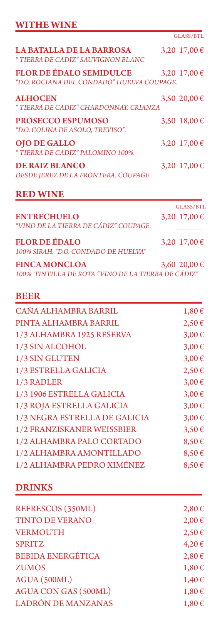## **WITHE WINE**

|                                                                              | GLASS/BTL    |
|------------------------------------------------------------------------------|--------------|
| <b>LA BATALLA DE LA BARROSA</b><br>" TIERRA DE CADIZ" SAUVIGNON BLANC        | 3,20 17,00 € |
| <b>FLOR DE ÉDALO SEMIDULCE</b><br>"D.O. ROCIANA DEL CONDADO" HUELVA COUPAGE. | 3,20 17,00 € |
| <b>ALHOCEN</b><br>"TIERRA DE CADIZ" CHARDONNAY, CRIANZA                      | 3,50 20,00 € |
| PROSECCO ESPUMOSO<br>"D.O. COLINA DE ASOLO, TREVISO".                        | 3,50 18,00 € |
| <b>OJO DE GALLO</b><br>"TIERRA DE CADIZ" PALOMINO 100%.                      | 3,20 17,00 € |
| <b>DE RAIZ BLANCO</b><br>DESDE JEREZ DE LA FRONTERA. COUPAGE                 | 3,20 17,00 € |

### **RED WINE**

|                                       | GLASS/BTL        |
|---------------------------------------|------------------|
| <b>ENTRECHUELO</b>                    | 3,20 17,00 €     |
| "VINO DE LA TIERRA DE CÁDIZ" COUPAGE. |                  |
| <b>FLOR DE ÉDALO</b>                  | 3,20 $17,00 \in$ |
| 100% SIRAH. "D.O. CONDADO DE HUELVA"  |                  |
| <b>FINCA MONCLOA</b>                  | 3,60 20,00 €     |

### *100% TINTILLA DE ROTA "VINO DE LA TIERRA DE CÁDIZ"*

#### BEER

| CAÑA ALHAMBRA BARRIL          | 1,80€      |
|-------------------------------|------------|
| PINTA ALHAMBRA BARRIL         | $2,50 \in$ |
| 1/3 ALHAMBRA 1925 RESERVA     | 3,00€      |
| 1/3 SIN ALCOHOL               | 3,00€      |
| 1/3 SIN GLUTEN                | 3,00€      |
| 1/3 ESTRELLA GALICIA          | $2,50 \in$ |
| 1/3 RADLER                    | 3,00€      |
| 1/3 1906 ESTRELLA GALICIA     | 3,00€      |
| 1/3 ROJA ESTRELLA GALICIA     | 3,00€      |
| 1/3 NEGRA ESTRELLA DE GALICIA | 3,00€      |
| 1/2 FRANZISKANER WEISSBIER    | $3,50 \in$ |
| 1/2 ALHAMBRA PALO CORTADO     | 8,50€      |
| 1/2 ALHAMBRA AMONTILLADO      | 8,50€      |
| 1/2 ALHAMBRA PEDRO XIMÉNEZ    | 8,50€      |

#### DRINKS

| REFRESCOS (350ML)           | 2,80€      |
|-----------------------------|------------|
| <b>TINTO DE VERANO</b>      | $2,00$ €   |
| <b>VERMOUTH</b>             | $2,50 \in$ |
| <b>SPRITZ</b>               | 4,20€      |
| <b>BEBIDA ENERGÉTICA</b>    | 2,80€      |
| <b>ZUMOS</b>                | 1,80€      |
| AGUA (500ML)                | 1,40€      |
| <b>AGUA CON GAS (500ML)</b> | 1,80€      |
| <b>LADRÓN DE MANZANAS</b>   | 1,80€      |
|                             |            |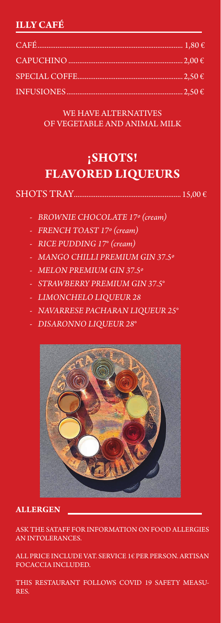#### **ILLY CAFÉ**

WE HAVE ALTERNATIVES OF VEGETABLE AND ANIMAL MILK

## **¡SHOTS! FLAVORED LIQUEURS**

- *- BROWNIE CHOCOLATE 17º (cream)*
- *- FRENCH TOAST 17º (cream)*
- *- RICE PUDDING 17° (cream)*
- *- MANGO CHILLI PREMIUM GIN 37.5º*
- *- MELON PREMIUM GIN 37.5º*
- *- STRAWBERRY PREMIUM GIN 37.5°*
- *- LIMONCHELO LIQUEUR 28*
- *- NAVARRESE PACHARAN LIQUEUR 25°*
- *- DISARONNO LIQUEUR 28°*



#### **ALLERGEN**

ASK THE SATAFF FOR INFORMATION ON FOOD ALLERGIES AN INTOLERANCES.

ALL PRICE INCLUDE VAT. SERVICE 1€ PER PERSON. ARTISAN FOCACCIA INCLUDED.

THIS RESTAURANT FOLLOWS COVID 19 SAFETY MEASU-RES.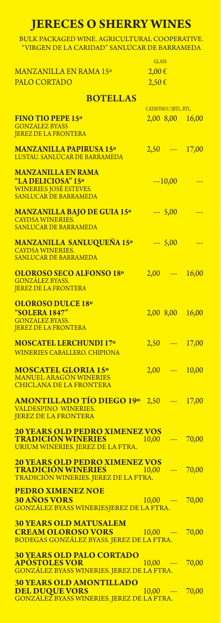## **JERECES O SHERRY WINES**

BULK PACKAGED WINE. AGRICULTURAL COOPERATIVE. "VIRGEN DE LA CARIDAD" SANLÚCAR DE BARRAMEDA

|                                                             | <b>GLASS</b> |                      |                     |
|-------------------------------------------------------------|--------------|----------------------|---------------------|
| MANZANILLA EN RAMA 15°                                      | $2,00 \in$   |                      |                     |
| <b>PALO CORTADO</b>                                         | $2,50 \in$   |                      |                     |
|                                                             |              |                      |                     |
| <b>BOTELLAS</b>                                             |              |                      |                     |
|                                                             |              | CATAVINO1/2BTL. BTL. |                     |
| <b>FINO TIO PEPE 15°</b>                                    |              |                      | 2,00 8,00 16,00     |
| <b>GONZALEZ BYASS</b><br><b>JEREZ DE LA FRONTERA</b>        |              |                      |                     |
|                                                             |              |                      |                     |
| <b>MANZANILLA PAPIRUSA 15°</b>                              |              |                      | $2,50$ --- 17,00    |
| LUSTAU. SANLÚCAR DE BARRAMEDA                               |              |                      |                     |
| <b>MANZANILLA EN RAMA</b>                                   |              |                      |                     |
| "LA DELICIOSA" 15°                                          |              | $-10,00$             |                     |
| <b>WINERIES JOSÉ ESTEVES.</b>                               |              |                      |                     |
| SANLUCAR DE BARRAMEDA                                       |              |                      |                     |
| <b>MANZANILLA BAJO DE GUIA 15°</b>                          |              | $-5,00$              |                     |
| <b>CAYDSA WINERIES.</b>                                     |              |                      |                     |
| <b>SANLUCAR DE BARRAMEDA</b>                                |              |                      |                     |
|                                                             |              |                      |                     |
| <b>MANZANILLA SANLUQUEÑA 15º</b><br><b>CAYDSA WINERIES.</b> |              | $-5,00$              |                     |
| <b>SANLUCAR DE BARRAMEDA</b>                                |              |                      |                     |
| <b>OLOROSO SECO ALFONSO 18°</b>                             |              |                      | $2,00$ --- $16,00$  |
| <b>GONZÁLEZ BYASS.</b>                                      |              |                      |                     |
| <b>JEREZ DE LA FRONTERA</b>                                 |              |                      |                     |
| <b>OLOROSO DULCE 18°</b>                                    |              |                      |                     |
| "SOLERA 1847"                                               |              |                      | 2,00 8,00 16,00     |
| <b>GONZALEZ BYASS.</b>                                      |              |                      |                     |
| <b>JEREZ DE LA FRONTERA</b>                                 |              |                      |                     |
| <b>MOSCATEL LERCHUNDI 17º</b>                               |              |                      | $2,50$ --- 17,00    |
| <b>WINERIES CABALLERO. CHIPIONA</b>                         |              |                      |                     |
|                                                             |              |                      |                     |
| <b>MOSCATEL GLORIA 15°</b>                                  | 2,00         | المستنب              | 10,00               |
| <b>MANUEL ARAGÓN WINERIES</b>                               |              |                      |                     |
| <b>CHICLANA DE LA FRONTERA</b>                              |              |                      |                     |
| <b>AMONTILLADO TÍO DIEGO 19º 2,50 --- 17,00</b>             |              |                      |                     |
| VALDESPINO WINERIES.                                        |              |                      |                     |
| <b>JEREZ DE LA FRONTERA</b>                                 |              |                      |                     |
| <b>20 YEARS OLD PEDRO XIMENEZ VOS</b>                       |              |                      |                     |
| <b>TRADICIÓN WINERIES</b>                                   |              |                      | $10,00$ --- 70,00   |
| URIUM WINERIES. JEREZ DE LA FTRA.                           |              |                      |                     |
| <b>20 YEARS OLD PEDRO XIMENEZ VOS</b>                       |              |                      |                     |
| <b>TRADICIÓN WINERIES</b>                                   |              |                      | $10,00$ --- $70,00$ |
| TRADICIÓN WINERIES. JEREZ DE LA FTRA.                       |              |                      |                     |
| <b>PEDRO XIMENEZ NOE</b>                                    |              |                      |                     |
| <b>30 AÑOS VORS</b>                                         |              |                      | $10,00$ --- 70,00   |
| GONZÁLEZ BYASS WINERIESJEREZ DE LA FTRA.                    |              |                      |                     |
| <b>30 YEARS OLD MATUSALEM</b>                               |              |                      |                     |
| <b>CREAM OLOROSO VORS</b><br><b>Service Service</b>         | $10,00$ ---  |                      | 70,00               |
| BODEGAS GONZÁLEZ BYASS. JEREZ DE LA FTRA.                   |              |                      |                     |
| <b>30 YEARS OLD PALO CORTADO</b>                            |              |                      |                     |
| <b>APÓSTOLES VOR</b>                                        |              |                      | $10,00$ --- $70,00$ |
| GONZÁLEZ BYASS WINERIES. JEREZ DE LA FTRA.                  |              |                      |                     |
| <b>30 YEARS OLD AMONTILLADO</b>                             |              |                      |                     |
| <b>DEL DUQUE VORS</b>                                       |              |                      | $10,00$ --- $70,00$ |
| GONZÁLEZ BYASS WINERIES. JEREZ DE LA FTRA.                  |              |                      |                     |